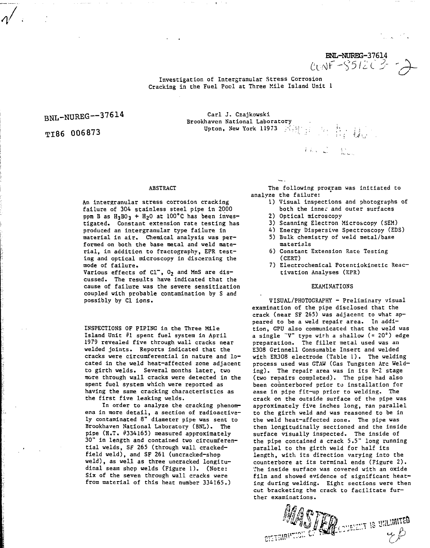BNL-NURBG-37614<br>CONF-S512C3-

Investigacion of Intergranular Stress Corrosion Cracking in the Fuel Pool at Three Mile Island Unit 1

# BNL-NUREG—37614

TI86 006873

Carl J. Czajkowski<br>Brookhaven National Laboratory Brookhaven National Laboratory Upton, New York 11973  $\mathbb{N}_+$ 

## ABSTRACT

An intergranular stress corrosion cracking failure of 304 stainless steel pipe in 2000 ppm B as  $H_3BO_3 + H_2O$  at 100°C has been investigated. Constant extension rate testing has produced an intergranular type failure in material in air. Chemical analysis was performed on both the base metal and weld material, in addition to fractography, EPR testing and optical microscopy in discerning the mode of failure.

Various effects of  $Cl^-$ ,  $0_2$  and MnS are discussed. The results have indicated that the cause of failure was the severe sensitization coupled with probable contamination by S and possibly by Cl ions.

INSPECTIONS OF PIPING in the Three Mile Island Unit #1 spent fuel system in April 1979 revealed five through wall cracks near welded joints. Reports indicated that the cracks were circumferential in nature and located in the weld heat-affected zone adjacent to girth welds. Several months later, two more through wall cracks were detected in the spent fuel system which were reported as having the same cracking characteristics as the first five leaking welds.

In order to analyze the cracking phenomena in more detail, a section of radioactively contaminated 8" diameter pipe was sent to Brookhaven National Laboratory (BNL). The pipe (H.T. #334165) measured approximately 30" in length and contained two circumferential welds, SF 265 (through wall crackedfield weld), and SF 261 (uncracked-shop weld), as well as three uncracked longitudinal seam shop welds (Figure 1). (Note: Six of the seven through wall cracks were from material of this heat number 334165.)

**CISTAIRI'** 

The following program was initiated to analyze the failure:

The C. De.

- 1) Visual inspections and photographs of both the inner and outer surfaces
- 2) Optical microscopy
- 3) Scanning Electron Microscopy (SEM)
- 4) Energy Dispersive Spectroscopy (EDS) 5) Bulk chemistry of weld metal/base
- materials
- 6) Constant Extension Rate Testing (CERT)
- 7) Electrochemical Potentiokinetic Reactivation Analyses (EPR)

#### EXAMINATIONS

VISUAL/PHOTOGRAPHY - Preliminary visual examination of the pipe disclosed that the crack (near SF 265) was adjacent to what appeared to be a weld repair area. In addition, GPU also communicated that the weld was a single "V" type with a shallow  $( = 20°)$  edge preparation. The filler metal used was an E308 Grinnell Consumable Insert and welded with ER308 electrode (Table 1). The welding process used was GTAW (Gas Tungsten Arc Welding). The repair area was in its R-2 stage (two repairs completed). The pipe had also been counterbored prior to installation for ease in pipe fit-up prior to welding. The crack on the outside surface of the pipe was approximately five inches long, ran parallel to the girth weld and was reasoned to be in the weld heat-affected zone. The pipe was then longitudinally sectioned and the inside surface visually inspected. The inside of the pipe contained a crack 5.5" long running parallel to the girth weld for half its length, with its direction varying into the counterbore at its terminal ends (Figure 2) . The inside surface was covered with an oxide film and showed evidence of significant heating during welding. Eight sections were then cut bracketing the crack to facilitate further examinations.

**SOURIELT IS UNLIMITED** 

th t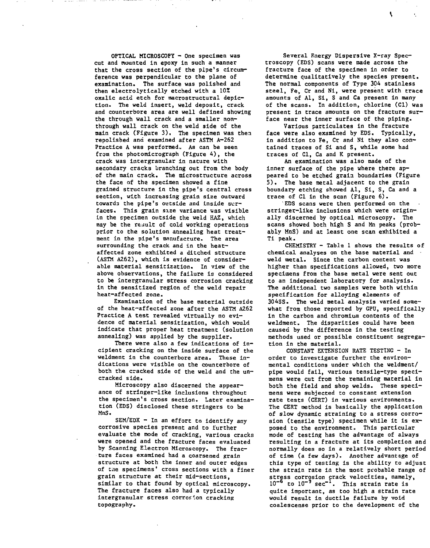**OPTICAL MICROSCOPY - One specimen was cut and mounted in epoxy in such a manner that the cross section of the pipe's circumference was perpendicular to the plane of examination. The surface was polished and then electrolytically etched with a 102 oxalic acid etch for macrostructural depiction. The weld insert, weld deposit, crack and counterbore area are well defined showing the through wall crack and a smaller nonthrough wall crack, on the weld side of the main crack (Figure 3). The specimen was then repolished and examined after ASTM A-262** Practice A was performed. As can be seen **from the photomicrograph (Figure 4), the crack was intergranular in nature with secondary cracks branching out from the body of the main crack. The microstructure across the face of the specimen showed a fine grained structure in the pipe's central cross section, with increasing grain size outward towards the pipe's outside and inside surfaces. This grain size variance was visible tn the specimen outside the weld HAZ, which may be the result of cold working operations prior to the solution annealing heat treatment in the pipe's manufacture. The area surrounding the crack and in the heataffected zone exhibited a ditched structure (ASTM A262), which is evidence of considerable material sensitization. In view of the above observations, the failure is considered to be intergranular stress corrosion cracking in the sensitized region of the weld repair heat-affected zone.**

**Examination of the base material outside of the heat-affected zone after the ASTM A262 Practice A test revealed virtually no evidence of material sensitization, which would indicate that proper heat treatment (solution annealing) was applied by the supplier.**

**There were also a few indications of incipient cracking on the inside surface of the weldment in the counterbore area. These indications were visible on the counterbore of both the cracked side of the weld and the uncracked side.**

**Microscopy also discerned the appearance of stringer-like inclusions throughout the specimen's cross section. Later examination (EDS) disclosed these stringers to be MnS.**

**SEM/EDX - In an effort to identify any corrosive species present and to further evaluate the mode of cracking, various cracks were opened and the fracture faces evaluated by Scanning Electron Microscopy. The fracture faces examined had a coarsened grain structure at both the inner and outer edges of tiie specimens' cross sections with a finer grain structure at their mid-sections, similar to that found by optical microscopy. The fracture faces also had a typically intergranular stress corrosion cracking topography.**

**Several Energy Dispersive X-ray Spectroscopy (EDS) scans were made across the fracture face of the specimen in order to determine qualitatively the species present. The normal components of Type 304 stainless** steel, Fe<sub>c</sub> Cr and Ni, were present with trace **amounts of Al, Si, S and Ca present in many of the scans. In addition, chlorine (Cl) was present in trace amounts on the fracture surface near the inner surface of the piping.**

**Various particulates in the fracture face were also examined by EDS, Typically, in addition to Fe, Cr and Ni they also contained traces of Si and S, while some had traces of Cl, Ca and K present.**

**An examination was also made of the inner surface of the pipe where there appeared to be etched grain boundaries (Figure 5 ) . The base metal adjacent to the grain boundary etching showed Al, Si, S, Ca and a trace of Cl in the scan (Figure 6).**

**EDS scans were then performed on the stringer-like inclusions which were originally discerned by optical microscopy. The scans showed both high S and Mn peaks (probably MnS) and at least one scan exhibited a Ti peak.**

**CHEMISTRY - Table 1 shows the results of chemical analyses on the base material and weld metal. Since the carbon content was higher than specifications allowed, two more specimens from the base metal were sent out to an independent laboratory for analysis. The additional two samples were both within specification for alloying elements of 304SS. The weld metal analysis varied somewhat from those reported by GPU, specifically in the carbon and chromium contents of the weldment. The disparities could have been caused by the difference in the testing methods used or possible constituent segregation in the material.**

**CONSTANT EXTENSION RATE TESTING - In order to investigate further the environmental conditions under which the weldment/ pipe would fail, various tensile-type specimens were cut from the remaining material in both the field and shop welds. These specimens were subjected to constant extension rate tests (CERT) in various environments. The CERT method is basically the application of slow dynamic straining to a stress corrosion (tensile type) specimen while it is exposed to the environment., This particular mode of testing has the advantage of always resulting in a fracture at its completion and normally does so in a relatively short period of time (a few days). Another advantage of this type of testing is the ability to adjust the strain rate in the most probable range of stress corrosion crack velocities, namely, 10~<sup>6</sup> to 10~<sup>9</sup> sec"<sup>1</sup>. This strain rate is quite important, as too high a strain rate would result in ductile failure by void coalescense prior to the development of the**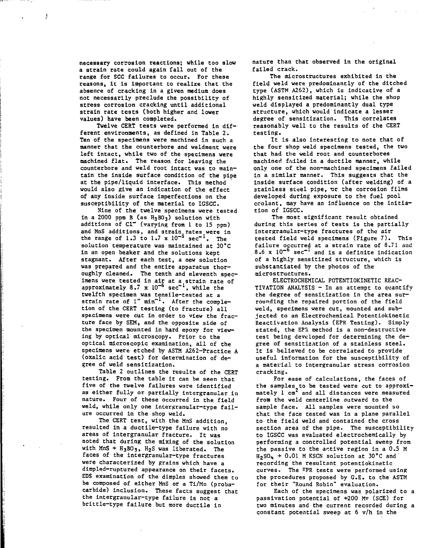**necessary corrosion reactions; while Coo slow a strain rate could again fall out of the range for SCC failures to occur. For these reasons, it is important to realize that the absence of cracking in a given medium does not necessarily preclude che possibility of stress corrosion cracking until additional strain rate tests (both higher and lower values) have been completed.**

J

**Twelve CERT tests were performed in different environments, as defined in Table 2. Ten of the specimens were machined in such a manner that the counterbore and weldment were left intact, while two of the specimens were machined flat. The reason for leaving the counterbore and weld root intact was to maintain the inside surface condition of the pipe at the pipe/liquid interface. This method would also give an indication of the effect of any inside surface imperfections on the susceptibility of the material to IGSCC.**

**Nine of the twelve specimens were tested in a 2000 ppm B (as H3BQ3) solution with additions of Cl~ (varying from 1 to 15 ppm) and MnS additions, and strain.rates were in the range of 1.3 to 1.7 x 10~° sec"<sup>1</sup>. The solution temperature was maintained at 30"C in an open beaker and the solutions kept stagnant. After each test, a new solution was prepared and the entire apparatus thoroughly cleaned. The tenth and eleventh specimens were tested in air at a strain rate of approximately 8.7 x 10~<sup>6</sup> sec"<sup>1</sup>, while the twelfth specimen was tensile-tested at a** strain rate of 1" min<sup>-1</sup>. After the comple**tion of the CERT testing (to fracture) all specimens were cut in order to view the fracture face by SEM, and the opposite side of the specimen mounted in hard epoxy for viewing by optical microscopy. Prior to the optical microscopic examination, all of the specimens were etched by ASTM A262-Practice A (oxalic acid test) for determination of degree of weld sensitization.**

**Table 2 outlines the results of the CERT testing. From the table it can be seen that** five of the twelve failures ware identified **as either fully or partially intergranular in nature. Four of these occurred in the field weld, while only one intergranular-type failure occurred in the shop weld.**

**The CERT test, with the MnS addition, resulted in a ductile-type failure with no areas of intergranular fracture. It was noted that during the mixing of the solution with MnS + H3BO3, H2S was liberated. The faces of the intergranular-type fractures were characterized by grains which have a dimpled-ruptured appearance on their facets. EDS examination of the dimples showed them to be composed of either MnS or a Ti/Mn (probacarbide) inclusion. These facts suggest that the intergranular-type failure is not a brittle-type failure but more ductile in**

**nature than that observed in the original failed crack.**

**The microstructures exhibited in the field weld were predominantly of the ditched type (ASTM A262), which is indicative of a highly sensitized material; while the shop weld displayed a predominantly dual type structure, which would indicate a lesser degree of sensitization. This correlates reasonably well to the results of the CERT testing.**

**It is also interesting to note that of the four shop weld specimens tested, the two that had the weld root and counterbores machined frilled in a ductile manner, while only one of the non-machined specimens failed in a similar manner. This suggests that the inside surface condition (after welding) of a stainless sceel pipe, ur the corrosion films developed during exposure to the fuel pool ccolant, may have an influence on the initiation of IGSCC.**

**The most significant result obtained during this series of tests is the partially intergranular-type fractures of the air tested field weld specimens (Figure 7). This failure occurred at a strain rate of 8.71 and 8.6 x 10~<sup>5</sup> sec"<sup>1</sup> and is a definite indication of a highly sensitized structure, which is substantiated by the photos of the micros tructures.**

**ELECTROCHEMICAL POTENTIOKINETIC REAC-TIVATION ANALYSIS - In an attempt to quantify the degree of sensitization in the area surrounding the repaired portion of the field weld, specimens were cut, mounted and subjected to an Electrochemical Potentiokinetic Reactivation Analysis (EPR Testing). Simply** stated, the EP<sub>2</sub> method is a non-destructive **test being developed for determining the degree of sensitization of a stainless steel. It is believed to be correlated to provide useful information for the susceptibility of a material to intergranular stress corrosion cracking.**

**For ease of calculations, the faces of the samples to be tested were cut to approxi**mately 1 cm<sup>2</sup> and all distances were measured **from the weld centerline outward to the sample face. All samples were mounted so that the face tested was in a plane parallel to the field weld and contained the cross section area of the pipe. The susceptibility to IGSCC was evaluated electrochemically by performing a controlled potential sweep from the passive to the active region in a 0.5 M**  $H_2$ SO<sub>4</sub> + 0.01 M KSCN solution at 30°C and **recording the resultant potentiokinetic curves. The EPR tests were performed using the procedures proposed by G.E. to the ASTM for their "Round Robin" evaluation.**

**Each of the specimens was polarized to a passivation potential of +200 Mv (SCE) for two minutes and the current recorded during a constant potential sweep at 6 v/h in the**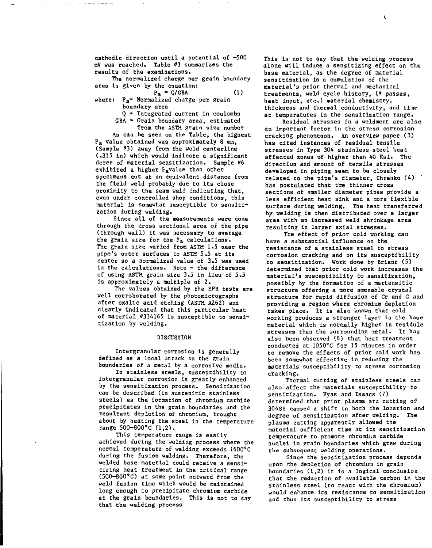cathodic direction until a potential of -500 mV was reached. Table #3 summarizes the results of the examinations.

The normalized charge per grain boundary area is given by the equation:

- $P_A = Q/GBA$  (1) where:  $P_A$ = Normalized charge per grain boundary area
	- $Q = Integrated current in coulombs$  $GBA =$  Grain boundary area, estimated

from the ASTM grain size number

As can be seen on the Table, the highest Pa value obtained was approximately 8 mm, (Sample #3) away from the weld centerline (.315 in) which would indicate a significant deree of material sensitization. Sample #6 exhibited a higher Pavalue than other specimens cut at an equivalent distance from the field weld probably due to its close proximity to the seam weld indicating that, even under controlled shop conditions, this material is somewhat susceptible to sensltization during welding.

Since all of the measurements were done through the cross sectional area of the pipe (through wall) it was necessary to average the grain size for the  $P_a$  calculations. The grain size varied from ASTM 1.5 near the pipe's outer surfaces to ASTM 5.5 at its center so a normalized value of 3.5 was used in the calculations. Note - the difference of using ASTM grain size 3.5 in lieu of 5.5 is approximately a multiple of 2.

The values obtained by the EPR tests are well corroborated by the photomicrographs after oxalic acid etching (ASTM A262) and clearly indicated that this particular heat of material #334165 is susceptible to sensitization by welding.

#### DISCUSSION

Intergranular corrosion is generally defined as a local attack on the grain boundaries of a metal by a corrosive media.

In stainless steels, susceptibility to intergranular corrosion is greatly enhanced by the sensitization process. Sensitization can be described (in austenitic stainless steels) as the formation of chromium carbide precipitates in the grain boundaries and the resultant depletion of chromium, brought about by heating the steel in the temperature range 500-800°C (1,2).

This temperature range is easily achieved during the welding process where the normal temperature of welding exceeds 1600°C during the fusion welding. Therefore, the welded base material could receive a sensitizing heat treatment in the critical range (500-800°C) at some point outward from the weld fusion time which would be maintained long enough to precipitate chromium carbide at the grain boundaries. This is not to say that the welding process

This is not to say that the welding process alone will induce a sensitizing effect on the base material, as the degree of material sensitization is a cumulation of the material's prior thermal and mechanical treatments, weld cycle history,  $($   $#$  passes, heat input, etc.) material chemistry, thickness and thermal conductivity, and time, at temperatures in the sensitization range.

Residual stresses in a weldment are also an important factor in the stress corrosion cracking phenomenon. An overview paper (3) has cited instances of residual tensile stresses in Type 304 stainless steel heat affected zones of higher than 40 Ksi. The direction and amount of tensile stresses developed in piping seem to be closely related to the pipe's diameter, Chrenko (4) has postulated that the thinner cross sections of smaller diameter pipes provide a less efficient heat sink and a more flexible surface during welding. The heat transferred by welding is then distributed over a larger area with an increased weld shrinkage area resulting in larger axial stresses.

The effect of prior cold working can have a substantial influence on the resistance of a stainless steel to stress corrosion cracking and on its susceptibility to sensitization. Work done by Briant (5) determined that prior cold work increases the material's susceptibility to sensitization, possibly by the formation of a martensitic structure offering a more amenable crystal structure for rapid diffusion of Cr and C and providing a region where chromium depletion takes place. It is also known that cold working produces a stronger layer in the base material which is normally higher in residule stresses than the surrounding metal. It has also been observed (6) that heat treatment conducted at 1050°C for 15 minutes in order to remove the effects of prior cold work has been somewhat effective in reducing the materials susceptibility to stress corrosion cracking.

Thermal cutting of stainless steels can also affect the materials susceptibility to sensitization. Vyas and Isaacs (7) determined that prior plasma arc cutting of 304SS caused a shift in both the location and degree of sensitization after welding. The plasma cutting apparently allowed the material sufficient time at its sensitization temperature to promote chromium carbide nuclei in grain boundaries which grew during the subsequent welding operations.

Since the sensitization process depends upon f.he depletion of chromium in grain boundaries (1,2) it is a logical conclusion that the reduction of available carbon in the stainless steel (to react with the chromium) would enhance its resistance to sensitization and thus its susceptibility to stress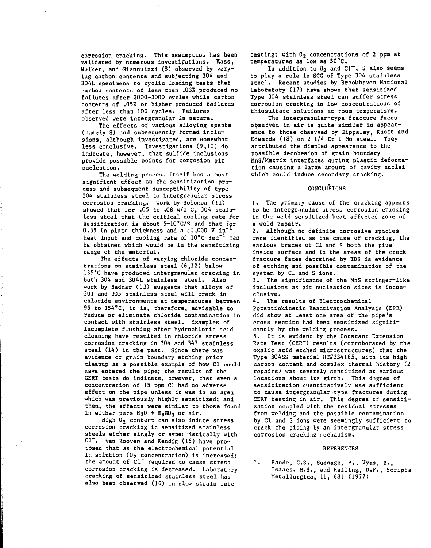corrosion cracking. This assumption has been validated by numerous investigations. Kass, Walker, and Giannuizzl (8) observed by varying carbon contents and subjecting 304 and 304L specimens to cyclic loading tests that carbon contents of less than .03% produced no failures after 2000-3000 cycles while carbon contents of .052 or higher produced failures after less than 100 cycles. Failures observed were intergranular in nature.

The effects of various alloying agents (namely S) and subsequently formed inclusions, although investigated, are somewhat less conclusive. Investigations (9,10) do indicate, however, that sulfide inclusions provide possible points for corrosion pit nucleation.

The welding process itself has a most significnt effect on the sensitization process and subsequent susceptibility of type 304 stainless steel to intergranular stress corrosion cracking. Work by Solomon (11) showed that for .05 to ,08 w/o C, 304 stainless steel that the critical cooling rate for sensitization is about 5-10°C/S and that for 0.35 in plate thickness and a  $\texttt{:0,000 V in}^*$ heat input and cooling rate of 10°C Sec<sup>-1</sup> can be obtained which would be in the sensitizing range of the material.

The effects of varying chloride concentrations on stainless steel (6,12) below 135°C have produced intergranular cracking in both 304 and 304L stainless steel. Also work by Bednar (13) suggests that alloys of 301 and 305 stainless steel will crack in chloride environments at temperatures between 95 to 154"C, it is, therefore, advisable to reduce or eliminate chloride contamination in contact with stainless steel. Examples of incomplete flushing after hydrochloric acid cleaning have resulted in chloride stress corrosion cracking in 304 and 347 stainless steel (14) in the past. Since there was evidence of grain boundary etching prior cleanup as a possible example of how Cl could have entered the pipe; the results of the CERT tests do indicate, however, that even a concentration of 15 ppm Cl had no adverse affect on the pipe unless it was in an area which was previously highly sensitized; and then, the effects were similar to those found in either pure  $H_3O + H_3BO_3$  or air.

High 02 contert can also induce stress corrosion cracking in sensitized stainless steels either singly or syner "tstically with Cl<sup>-</sup>. van Rooyen and Kendig (15) have proposed that as the electrochemical potential it solution  $(0<sub>2</sub>)$  concentration) is increased: the amount of  $\bar{C}1^-$  required to cause stress corrosion cracking is decreased. Laboratory cracking of sensitized stainless steel has also been observed (16) in slow strain rate

testing; with  $0<sub>2</sub>$  concentrations of 2 ppm at temperatures as low as 50°C.

In addition to  $0_2$  and  $Cl^-$ , S also seems to play a role in SCC of Type 304 stainless steel. Recent studies by Brookhaven National Laboratory (17) have shown that sensitized Type 304 stainless steel can suffer stress corrosion cracking in low concentrations of thiosulfate solutions at room temperature.

The intergranular-type fracture faces observed in air is quite similar in appearance to those observed by Hippsley, Knott and Edwards (18) on 2 1/4 Cr 1 Mo steel. They attributed the dimpled appearance to the possible decohesion of grain boundary MnS/Matrix interfaces during plastic deformation causing a large amount of cavity nuclei which could induce secondary cracking.

## CONCLUSIONS

1. The primary cause of the cracking appears to be intergranular stress corrosion cracking in the weld sensitized heat affected zone of a weld repair.

2. Although no definite corrosive spacies were identified as the cause of cracking, the various traces of Cl and S both the pipe inside surface and in the areas of the crack fracture faces detrmined by EDS is evidence of etching and possible contamination of the system by Cl and S ions.

3. The significance of the MnS stringer-like Inclusions as pit nucleation sites is inconclusive.

4. The results of Electrochemical Potentiokinetic Reactivation Analysis (EPR) did show at least one area of the pipe's cross section had been sensitized significantly by the welding process.

5. It is evident by the Constant Extension Rate Test (CERT) results (corroborated by the oxalic acid etched microstructures) that the Type 304SS material HT#334165, with its high carbon content and complex thermal history (2 repairs) was severely sensitized at various locations about its girth. This dagree of sensitization quantitatively was sufficient to cause intergranular-type fractures during CERT testing in air. This degree of sensitization coupled with the residual stresses from welding and the possible contamination by Cl and S ions were seemingly sufficient to crack the piping by an intergranular stress corrosion cracking mechanism.

#### REFERENCES

1. Pande, C.S., Suenage, M. , Vyas, B., Isaacs. H.S., and Hailing, D.F., Scrlpta Metallurgica, 11, 681 (1977)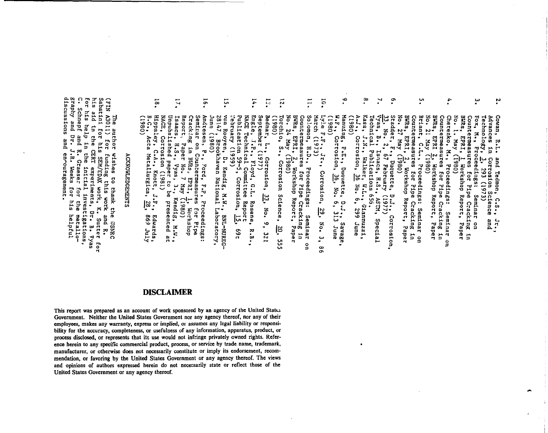ç,  $\mathbf{e}$  $\mathbf{r}$ بہ<br>• ب  $\ddot{\phantom{0}}$  $\overline{5}$ ្ណុ  $\overline{5}$ ىيە  $\mathbf{z}$  $\overline{14}$  $\overline{a}$ ឆ FT.  $BWRs$ ,  $\therefore$   $24MRy$ BARS, L.<br>Way 17 May  $BWRS$ , ...<br> $N_{O.}$  21  $M_{2}y$ w.<br>Report, t.,<br>Report, t., 28147, Broo'<br>Juns (1980) Seminar on Countermeasur<br>Cracking in BMRs, EPRI,<br>Report, Paper No. 7 May **USID**  $(0861)$ Briant, C.L., Proceedings: Seminar on<br>Briant, C.L., Proceedings: Seminar on<br>DWRs, EPRI, 2, Workshop Report, Paper Cowan, Andresen, Tebruary (1959) Publication NACE Technical Committee Bednar, L., Corrosion,<br>September (1977)<br>Engle, J.P., Floyd, G.) Solomou,<br>Couttermeasures for <sub>rip-</sub><br>Couttermeasures for <sub>rip-</sub> Narch (1973) Lyle F.F.,  $(0861)$ Manuing, P.E., D.<br>W.F., Corrosion, Kass, J.N., Walke<br>Kass, J.N., Walke Stadder, F., Duquette, D.J<br>32, No. 2, 67 February (19<br>Vyas, B., Isaacs, H.S., AS<br>Technical Publications 656 Countermeasures for Pipe Cracking in Cherenko, M., Proceedings: °° Countermeasures for Pipe Cracking in<br>BWRs, EPRI, 1 Workshop Report, Paper Fox, M., Torchio, Technology, Advances  $(0861)$ Rooyen, D. Kendig, N.W., BNL-NUREG<br>17, Brookhaven National Laboratory,  $\ddot{ }$ , EPRI, 2, Won<br>27 May (1980) EPRI, Кви  $-1.3$ F., Duquette, D.J.,<br>2, 67 February (1977)  $\mathfrak{t} \mathfrak{a}$ S., Corrosion Science, Proceedings:  $\mathbf{r}$  $\frac{2}{(1980)}$ Countermeasures for Pipe  $J_{\Sigma}$ ,  $\frac{1}{1}$  Mort  $-59 - 5$ , Corrosion Sc<br>3, 293 (197: Walker, and Vyas, 3., K<br>paper to be Ford, Workshop Report, Paper Proceedings: Duquette, i Tedmon,<br><sup>1</sup> nn Sc Corrosion, يوا<br>م န္တ Corrosion,  $\sum_{n=1}^{n}$  $E \cdot P$  $c_{\text{-}L_{\bullet}}$ No.  $\frac{1}{2}$  +  $\frac{1}{2}$  +  $\frac{1}{2}$  +  $\frac{1}{2}$ 33, No. 9, 321 Seminar ت cience gs:<br>: Cracking in<br>: Tracking in ASTM, Special  $\Omega$ D.J., Savage<br>6, 313 June Repor  $\cdot$ Proceedings: Rosene, R.B.,  $\ddot{\cdot}$ tzznuurr9 **Horkshop**  $\frac{2}{3}$ 599 Seminar on  $\vec{5}$ BNL-NUREC-Seminar Corrosion, hr.<br>and  $\ddot{\mathbf{e}}$ June  $\frac{1}{2}$  $M-N$ . Savage, ξj -69 ىي u<br>Sa  $\frac{1}{2}$  $\frac{8}{9}$ 

# **ACKNOWLEDGEMENTS**

 $\overline{a}$ 

Hippsley, NACE, Corrosion Unpubslished

 $\circ$ 

 $\ddot{r}$ 

Knott

 $(1861)$ 

 $\ddot{\cdot}$ 

Kend.

 $\mathbf{f}_{\mathbf{g}}$ 

presented at

baper

 $\frac{5.0}{1980}$ 

Acta Metallurgica,

 $1.5.$ <br> $\frac{1}{28}$ 

Edwards<br>869 July

 $\mathbf{u}_\mathbf{I}$ 

ue author<br>(FIN 43011) for<br>Sabat1n1 for h1s<br>h+e --' graphy<br>discus  $\Omega$ Eor his aid iscussions Schnepf his help in pue in the CERT experiments Dr. pue pue hor wishes to thank the USNRC<br>for funding this work and R.<br>his SEM/EDAX work, K. Sutter for<br>he CERT experiments, Dr. B. Vyas بر<br>• **che** encouragement  $\mathbf{r} \cdot \mathbf{r}$ Graeser **Weeks** inicial investigations,<br>raeser for the metallofor his helpful

# **DISCLAIMER**

This report was prepared as an account of work sponsored by an agency of the United States Government. Neither the United States Government nor any agency thereof, nor any of their employees, makes any warranty, express or implied, or assumes any legal liability or responsibility for the accuracy, completeness, or usefulness of any information, apparatus, product, or process disclosed, or represents that its use would not infringe privately owned rights. Reference herein to any specific commercial product, process, or service by trade name, trademark, manufacturer, or otherwise does not necessarily constitute or imply its endorsement, recommendation, or favoring by the United States Government or any agency thereof. The views and opinions of authors expressed herein do not necessarily state or reflect those of the United States Government or any agency thereof.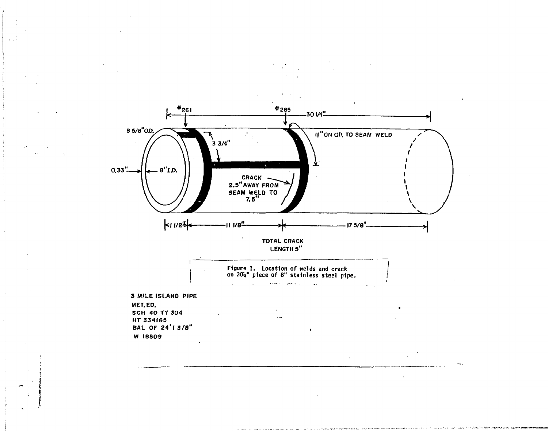

 $\mathcal{L}^{\text{max}}$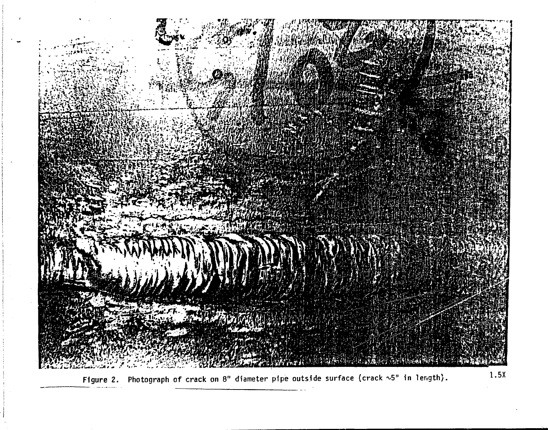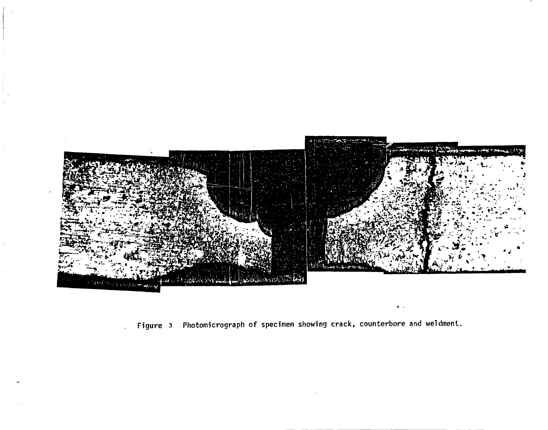

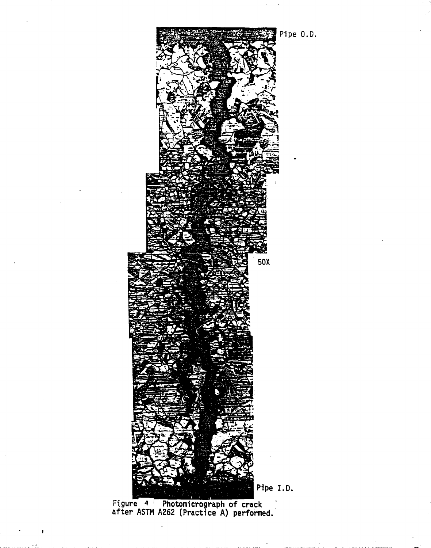

**Figure 4 Photomicrograph of crack after ASTM A262 (Practice A) performed.**